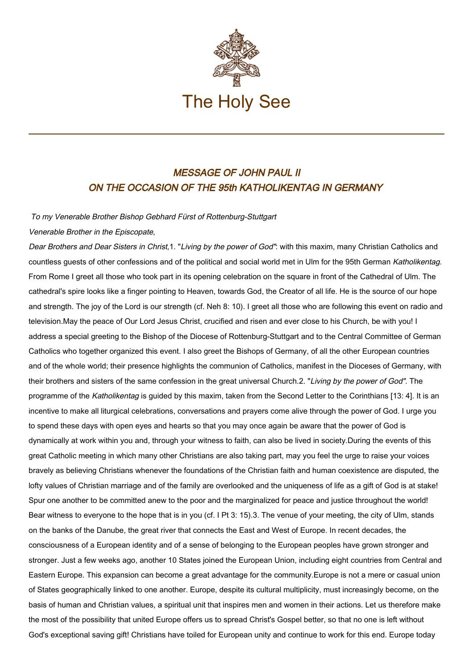

## MESSAGE OF JOHN PAUL II ON THE OCCASION OF THE 95th KATHOLIKENTAG IN GERMANY

## To my Venerable Brother Bishop Gebhard Fürst of Rottenburg-Stuttgart

## Venerable Brother in the Episcopate,

Dear Brothers and Dear Sisters in Christ,1. "Living by the power of God": with this maxim, many Christian Catholics and countless guests of other confessions and of the political and social world met in Ulm for the 95th German Katholikentag. From Rome I greet all those who took part in its opening celebration on the square in front of the Cathedral of Ulm. The cathedral's spire looks like a finger pointing to Heaven, towards God, the Creator of all life. He is the source of our hope and strength. The joy of the Lord is our strength (cf. Neh 8: 10). I greet all those who are following this event on radio and television.May the peace of Our Lord Jesus Christ, crucified and risen and ever close to his Church, be with you! I address a special greeting to the Bishop of the Diocese of Rottenburg-Stuttgart and to the Central Committee of German Catholics who together organized this event. I also greet the Bishops of Germany, of all the other European countries and of the whole world; their presence highlights the communion of Catholics, manifest in the Dioceses of Germany, with their brothers and sisters of the same confession in the great universal Church.2. "Living by the power of God". The programme of the Katholikentag is guided by this maxim, taken from the Second Letter to the Corinthians [13: 4]. It is an incentive to make all liturgical celebrations, conversations and prayers come alive through the power of God. I urge you to spend these days with open eyes and hearts so that you may once again be aware that the power of God is dynamically at work within you and, through your witness to faith, can also be lived in society.During the events of this great Catholic meeting in which many other Christians are also taking part, may you feel the urge to raise your voices bravely as believing Christians whenever the foundations of the Christian faith and human coexistence are disputed, the lofty values of Christian marriage and of the family are overlooked and the uniqueness of life as a gift of God is at stake! Spur one another to be committed anew to the poor and the marginalized for peace and justice throughout the world! Bear witness to everyone to the hope that is in you (cf. I Pt 3: 15).3. The venue of your meeting, the city of Ulm, stands on the banks of the Danube, the great river that connects the East and West of Europe. In recent decades, the consciousness of a European identity and of a sense of belonging to the European peoples have grown stronger and stronger. Just a few weeks ago, another 10 States joined the European Union, including eight countries from Central and Eastern Europe. This expansion can become a great advantage for the community.Europe is not a mere or casual union of States geographically linked to one another. Europe, despite its cultural multiplicity, must increasingly become, on the basis of human and Christian values, a spiritual unit that inspires men and women in their actions. Let us therefore make the most of the possibility that united Europe offers us to spread Christ's Gospel better, so that no one is left without God's exceptional saving gift! Christians have toiled for European unity and continue to work for this end. Europe today